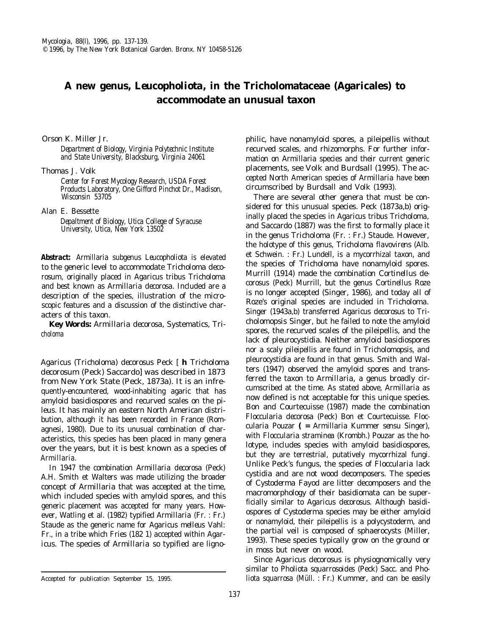## **A new genus,** *Leucopholiota,* **in the Tricholomataceae (Agaricales) to accommodate an unusual taxon**

Orson K. Miller Jr.

*Department of Biology, Virginia Polytechnic Institute and State University, Blacksburg, Virginia 24061*

Thomas J. Volk

*Center for Forest Mycology* Research, *USDA Forest Products Laboratory,* One *Gifford Pinchot Dr., Madison, Wisconsin 53705*

Alan E. Bessette

*Depaltment of Biology, Utica College of Syracuse University, Utica, New York 13502*

*Abstract: Armillaria* subgenus *Leucopholiota* is elevated to the generic level to accommodate *Tricholoma decorosum,* originally placed in *Agaricus* tribus *Tricholoma* and best known as *Armillaria decorosa.* Included are a description of the species, illustration of the microscopic features and a discussion of the distinctive characters of this taxon.

*Key Words: Armillaria decorosa,* Systematics, *Tricholoma*

*Agaricus (Tricholoma) decorosus* Peck [ **h** *Tricholoma decorosum* (Peck) Saccardo] was described in 1873 from New York State (Peck, 1873a). It is an infrequently-encountered, wood-inhabiting agaric that has amyloid basidiospores and recurved scales on the pileus. It has mainly an eastern North American distribution, although it has been recorded in France (Romagnesi, 1980). Due to its unusual combination of characteristics, this species has been placed in many genera over the years, but it is best known as a species of *Armillaria.*

In 1947 the combination *Armillaria decorosa* (Peck) A.H. Smith et Walters was made utilizing the broader concept of *Armillaria* that was accepted at the time, which included species with amyloid spores, and this generic placement was accepted for many years. However, Watling et al. (1982) typified *Armillaria* (Fr. : Fr.) Staude as the generic name for *Agaricus melleus* Vahl: Fr., in a tribe which Fries (182 1) accepted within *Agaricus.* The species of *Armillaria* so typified are ligno-

Accepted for publication September 15, 1995.

philic, have nonamyloid spores, a pileipellis without recurved scales, and rhizomorphs. For further information on *Armillaria* species and their current generic placements, see Volk and Burdsall (1995). The accepted North American species of *Armillaria* have been circumscribed by Burdsall and Volk (1993).

There are several other genera that must be considered for this unusual species. Peck (1873a,b) originally placed the species in *Agaricus* tribus *Tricholoma,* and Saccardo (1887) was the first to formally place it in the genus *Tricholoma* (Fr. : Fr.) Staude. However, the holotype of this genus, *Tricholoma flavovirens* (Alb. et Schwein. : Fr.) Lundell, is a mycorrhizal taxon, and the species of *Tricholoma* have nonamyloid spores. Murrill (1914) made the combination *Cortinellus decorosus* (Peck) Murrill, but the genus *Cortinellus* Roze is no longer accepted (Singer, 1986), and today all of Roze's original species are included in *Tricholoma.* Singer (1943a,b) transferred *Agaricus decorosus* to *Tricholomopsis* Singer, but he failed to note the amyloid spores, the recurved scales of the pileipellis, and the lack of pleurocystidia. Neither amyloid basidiospores nor a scaly pileipellis are found in *Tricholomopsis,* and pleurocystidia are found in that genus. Smith and Walters (1947) observed the amyloid spores and transferred the taxon to *Armillaria,* a genus broadly circumscribed at the time. As stated above, *Armillaria* as now defined is not acceptable for this unique species. Bon and Courtecuisse (1987) made the combination *Floccularia decorosa* (Peck) Bon et Courtecuisse. *Floccularia* Pouzar **( =** *Armillaria* Kummer *sensu* Singer), with *Floccularia straminea* (Krombh.) Pouzar as the holotype, includes species with amyloid basidiospores, but they are terrestrial, putatively mycorrhizal fungi. Unlike Peck's fungus, the species of *Floccularia* lack cystidia and are not wood decomposers. The species of *Cystoderma* Fayod are litter decomposers and the macromorphology of their basidiomata can be superficially similar to *Agaricus decorosus.* Although basidiospores of *Cystoderma* species may be either amyloid or nonamyloid, their pileipellis is a polycystoderm, and the partial veil is composed of sphaerocysts (Miller, 1993). These species typically grow on the ground or in moss but never on wood.

Since *Agaricus decorosus* is physiognomically very similar to *Pholiota squarrosoides* (Peck) Sacc. and *Pholiota squarrosa* (Müll. : Fr.) Kummer, and can be easily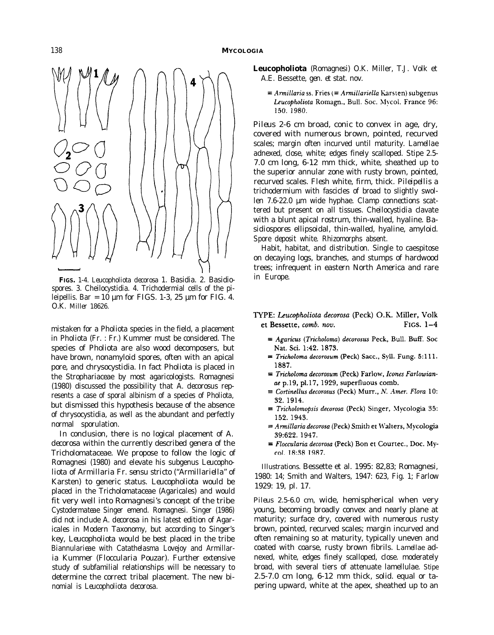

**FIGS.** 1-4. *Leucopholiota decorosa* 1. Basidia. 2. Basidiospores. 3. Cheilocystidia. 4. Trichodermial cells of the pileipellis. Bar =  $10 \mu m$  for FIGS. 1-3, 25  $\mu m$  for FIG. 4. *O.K. Miller 18626.*

mistaken for a *Pholiota* species in the field, a placement in *Pholiota* (Fr. : Fr.) Kummer must be considered. The species of *Pholiota* are also wood decomposers, but have brown, nonamyloid spores, often with an apical pore, and chrysocystidia. In fact *Pholiota* is placed in the Strophariaceae by most agaricologists. Romagnesi (1980) discussed the possibility that *A. decorosus* represents a case of sporal albinism of a species of *Pholiota,* but dismissed this hypothesis because of the absence of chrysocystidia, as well as the abundant and perfectly normal sporulation.

In conclusion, there is no logical placement of A. *decorosa* within the currently described genera of the Tricholomataceae. We propose to follow the logic of Romagnesi (1980) and elevate his subgenus *Leucopholiota* of *Armillaria* Fr. *sensu stricto ("Armillariella"* of Karsten) to generic status. *Leucopholiota* would be placed in the Tricholomataceae (Agaricales) and would fit very well into Romagnesi's concept of the tribe *Cystodermateae* Singer emend. Romagnesi. Singer (1986) did not include *A. decorosa* in his latest edition of Agaricales in Modern Taxonomy, but according to Singer's key, *Leucopholiota* would be best placed in the tribe *Biannularieae* with *Catathelasma* Lovejoy and *Armillaria* Kummer *(Floccularia* Pouzar). Further extensive study of subfamilial relationships will be necessary to determine the correct tribal placement. The new binomial is *Leucopholiota decorosa.*

**Leucopholiota** (Romagnesi) O.K. Miller, T.J. Volk et A.E. Bessette, *gen. et stat. nov.*

 $\equiv$  Armillaria ss. Fries ( $\equiv$  Armillariella Karsten) subgenus Leucopholiota Romagn., Bull. Soc. Mycol. France 96: 150.1980.

*Pileus* 2-6 cm broad, conic to convex in age, dry, covered with numerous brown, pointed, recurved scales; margin often incurved until maturity. *Lamellae* adnexed, close, white; edges finely scalloped. *Stipe* 2.5- 7.0 cm long, 6-12 mm thick, white, sheathed up to the superior annular zone with rusty brown, pointed, recurved scales. *Flesh* white, firm, thick. *Pileipellis* a trichodermium with fascicles of broad to slightly swollen 7.6-22.0 µm wide hyphae. *Clamp connections* scattered but present on all tissues. *Cheilocystidia* clavate with a blunt apical rostrum, thin-walled, hyaline. *Basidiospores* ellipsoidal, thin-walled, hyaline, amyloid. *Spore deposit* white. *Rhizomorphs* absent.

*Habit, habitat, and distribution.* Single to caespitose on decaying logs, branches, and stumps of hardwood trees; infrequent in eastern North America and rare in Europe.

- TYPE: Leucopholiota decorosa (Peck) O.K. Miller, Volk FIGS,  $1-4$ et Bessette, comb. nov.
	- $\equiv$  Agaricus (Tricholoma) decorosus Peck, Bull. Buff. Soc Nat. Sci. 1:42. 1873.
	- $\equiv$  Tricholoma decorosum (Peck) Sacc., Syll. Fung. 5:111. 1887.
	- $\equiv$  Tricholoma decorosum (Peck) Farlow, Icones Farlowianae p.19, pl.17, 1929, superfluous comb.
	- $\equiv$  Cortinellus decorosus (Peck) Murr., N. Amer. Flora 10: 32.1914.
	- $\equiv$  Tricholomopsis decorosa (Peck) Singer, Mycologia 35: 152.1943.
	- = Armillaria decorosa (Peck) Smith et Walters, Mycologia 39:622. 1947.
	- ≡ Floccularia decorosa (Peck) Bon et Courtec., Doc. Mycol. 18:38 1987.

*Illustrations.* Bessette et al. 1995: 82,83; Romagnesi, 1980: 14; Smith and Walters, 1947: 623, Fig. 1; Farlow 1929: 19, pl. 17.

*Pileus* 2.5-6.0 cm, wide, hemispherical when very young, becoming broadly convex and nearly plane at maturity; surface dry, covered with numerous rusty brown, pointed, recurved scales; margin incurved and often remaining so at maturity, typically uneven and coated with coarse, rusty brown fibrils. *Lamellae* adnexed, white, edges finely scalloped, close. moderately broad, with several tiers of attenuate lamellulae. *Stipe* 2.5-7.0 cm long, 6-12 mm thick, solid. equal or tapering upward, white at the apex, sheathed up to an